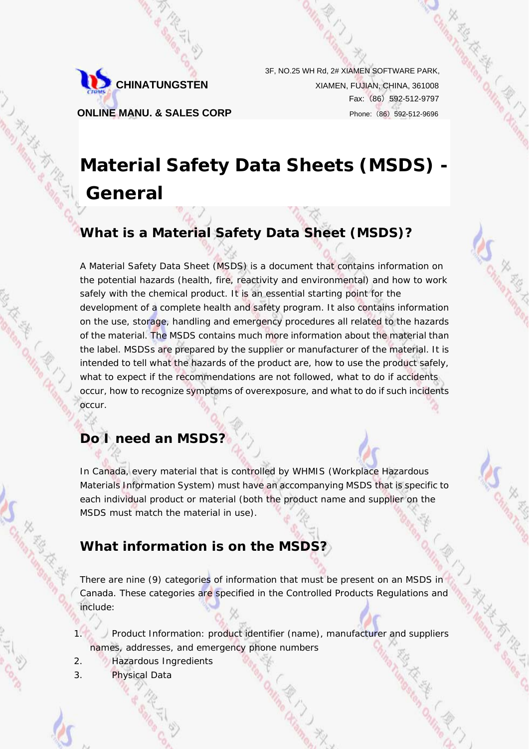

3F, NO.25 WH Rd, 2# XIAMEN SOFTWARE PARK, **CHINATUNGSTEN** XIAMEN, FUJIAN, CHINA, 361008 Fax:(86)592-512-9797 **ONLINE MANU. & SALES CORP** Phone: (86) 592-512-9696

# **Material Safety Data Sheets (MSDS) - General**

## **What is a Material Safety Data Sheet (MSDS)?**

A Material Safety Data Sheet (MSDS) is a document that contains information on the potential hazards (health, fire, reactivity and environmental) and how to work safely with the chemical product. It is an essential starting point for the development of a complete health and safety program. It also contains information on the use, storage, handling and emergency procedures all related to the hazards of the material. The MSDS contains much more information about the material than the label. MSDSs are prepared by the supplier or manufacturer of the material. It is intended to tell what the hazards of the product are, how to use the product safely, what to expect if the recommendations are not followed, what to do if accidents occur, how to recognize symptoms of overexposure, and what to do if such incidents occur.

### **Do I need an MSDS?**

In Canada, every material that is controlled by WHMIS (Workplace Hazardous Materials Information System) must have an accompanying MSDS that is specific to each individual product or material (both the product name and supplier on the MSDS must match the material in use).

### **What information is on the MSDS?**

There are nine (9) categories of information that must be present on an MSDS in Canada. These categories are specified in the Controlled Products Regulations and include:

1. Product Information: product identifier (name), manufacturer and suppliers names, addresses, and emergency phone numbers

- 2. Hazardous Ingredients
- 3. Physical Data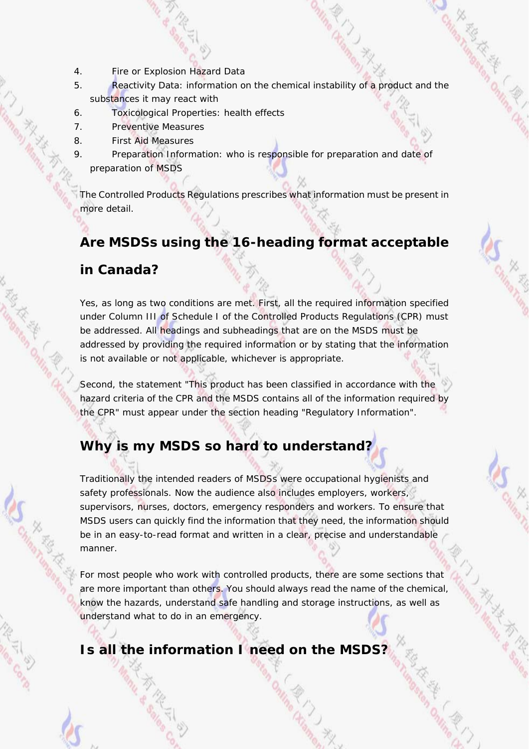- 4. Fire or Explosion Hazard Data
- 5. Reactivity Data: information on the chemical instability of a product and the substances it may react with
- 6. Toxicological Properties: health effects
- 7. Preventive Measures
- 8. First Aid Measures
- 9. Preparation Information: who is responsible for preparation and date of preparation of MSDS

The Controlled Products Regulations prescribes what information must be present in more detail.

## **Are MSDSs using the 16-heading format acceptable**

### **in Canada?**

Yes, as long as two conditions are met. First, all the required information specified under Column III of Schedule I of the Controlled Products Regulations (CPR) must be addressed. All headings and subheadings that are on the MSDS must be addressed by providing the required information or by stating that the information is not available or not applicable, whichever is appropriate.

Second, the statement "This product has been classified in accordance with the hazard criteria of the CPR and the MSDS contains all of the information required by the CPR" must appear under the section heading "Regulatory Information".

# **Why is my MSDS so hard to understand?**

Traditionally the intended readers of MSDSs were occupational hygienists and safety professionals. Now the audience also includes employers, workers, supervisors, nurses, doctors, emergency responders and workers. To ensure that MSDS users can quickly find the information that they need, the information should be in an easy-to-read format and written in a clear, precise and understandable manner.

For most people who work with controlled products, there are some sections that are more important than others. You should always read the name of the chemical, know the hazards, understand safe handling and storage instructions, as well as understand what to do in an emergency.

**Is all the information I need on the MSDS?**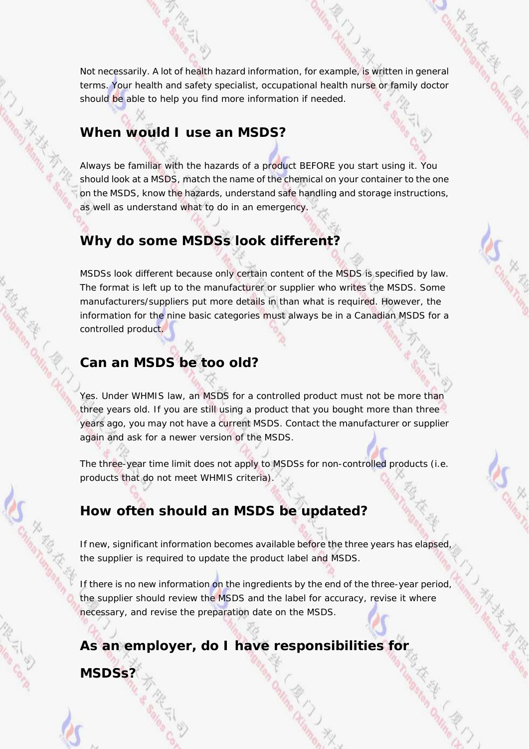Not necessarily. A lot of health hazard information, for example, is written in general terms. Your health and safety specialist, occupational health nurse or family doctor should be able to help you find more information if needed.

### **When would I use an MSDS?**

Always be familiar with the hazards of a product BEFORE you start using it. You should look at a MSDS, match the name of the chemical on your container to the one on the MSDS, know the hazards, understand safe handling and storage instructions, as well as understand what to do in an emergency.

### **Why do some MSDSs look different?**

MSDSs look different because only certain content of the MSDS is specified by law. The format is left up to the manufacturer or supplier who writes the MSDS. Some manufacturers/suppliers put more details in than what is required. However, the information for the nine basic categories must always be in a Canadian MSDS for a controlled product.

### **Can an MSDS be too old?**

Yes. Under WHMIS law, an MSDS for a controlled product must not be more than three years old. If you are still using a product that you bought more than three years ago, you may not have a current MSDS. Contact the manufacturer or supplier again and ask for a newer version of the MSDS.

The three-year time limit does not apply to MSDSs for non-controlled products (i.e. products that do not meet WHMIS criteria).

# **How often should an MSDS be updated?**

If new, significant information becomes available before the three years has elapsed, the supplier is required to update the product label and MSDS.

If there is no new information on the ingredients by the end of the three-year period, the supplier should review the MSDS and the label for accuracy, revise it where necessary, and revise the preparation date on the MSDS.

**As an employer, do I have responsibilities for** 

**MSDSs?**